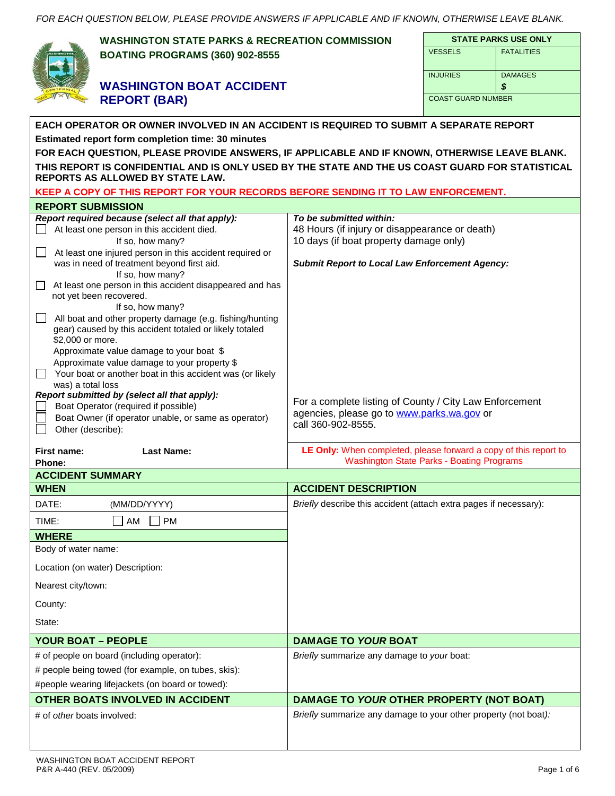|                                                  | <b>WASHINGTON STATE PARKS &amp; RECREATION COMMISSION</b>                                                                            |                                                                   |                           | <b>STATE PARKS USE ONLY</b> |  |  |
|--------------------------------------------------|--------------------------------------------------------------------------------------------------------------------------------------|-------------------------------------------------------------------|---------------------------|-----------------------------|--|--|
|                                                  | <b>BOATING PROGRAMS (360) 902-8555</b>                                                                                               | <b>VESSELS</b>                                                    | <b>FATALITIES</b>         |                             |  |  |
|                                                  |                                                                                                                                      |                                                                   |                           |                             |  |  |
|                                                  | <b>WASHINGTON BOAT ACCIDENT</b>                                                                                                      | <b>INJURIES</b>                                                   | <b>DAMAGES</b><br>\$      |                             |  |  |
| <b>REPORT (BAR)</b>                              |                                                                                                                                      |                                                                   | <b>COAST GUARD NUMBER</b> |                             |  |  |
|                                                  |                                                                                                                                      |                                                                   |                           |                             |  |  |
|                                                  | EACH OPERATOR OR OWNER INVOLVED IN AN ACCIDENT IS REQUIRED TO SUBMIT A SEPARATE REPORT                                               |                                                                   |                           |                             |  |  |
|                                                  | Estimated report form completion time: 30 minutes                                                                                    |                                                                   |                           |                             |  |  |
|                                                  | FOR EACH QUESTION, PLEASE PROVIDE ANSWERS, IF APPLICABLE AND IF KNOWN, OTHERWISE LEAVE BLANK.                                        |                                                                   |                           |                             |  |  |
|                                                  | THIS REPORT IS CONFIDENTIAL AND IS ONLY USED BY THE STATE AND THE US COAST GUARD FOR STATISTICAL<br>REPORTS AS ALLOWED BY STATE LAW. |                                                                   |                           |                             |  |  |
|                                                  | KEEP A COPY OF THIS REPORT FOR YOUR RECORDS BEFORE SENDING IT TO LAW ENFORCEMENT.                                                    |                                                                   |                           |                             |  |  |
| <b>REPORT SUBMISSION</b>                         |                                                                                                                                      |                                                                   |                           |                             |  |  |
|                                                  | Report required because (select all that apply):                                                                                     | To be submitted within:                                           |                           |                             |  |  |
|                                                  | At least one person in this accident died.                                                                                           | 48 Hours (if injury or disappearance or death)                    |                           |                             |  |  |
|                                                  | If so, how many?<br>At least one injured person in this accident required or                                                         | 10 days (if boat property damage only)                            |                           |                             |  |  |
|                                                  | was in need of treatment beyond first aid.                                                                                           | <b>Submit Report to Local Law Enforcement Agency:</b>             |                           |                             |  |  |
|                                                  | If so, how many?                                                                                                                     |                                                                   |                           |                             |  |  |
| $\Box$                                           | At least one person in this accident disappeared and has<br>not yet been recovered.                                                  |                                                                   |                           |                             |  |  |
|                                                  | If so, how many?                                                                                                                     |                                                                   |                           |                             |  |  |
|                                                  | All boat and other property damage (e.g. fishing/hunting<br>gear) caused by this accident totaled or likely totaled                  |                                                                   |                           |                             |  |  |
| \$2,000 or more.                                 |                                                                                                                                      |                                                                   |                           |                             |  |  |
|                                                  | Approximate value damage to your boat \$                                                                                             |                                                                   |                           |                             |  |  |
|                                                  | Approximate value damage to your property \$<br>Your boat or another boat in this accident was (or likely                            |                                                                   |                           |                             |  |  |
| was) a total loss                                |                                                                                                                                      |                                                                   |                           |                             |  |  |
|                                                  | Report submitted by (select all that apply):                                                                                         | For a complete listing of County / City Law Enforcement           |                           |                             |  |  |
|                                                  | Boat Operator (required if possible)<br>Boat Owner (if operator unable, or same as operator)                                         | agencies, please go to www.parks.wa.gov or                        |                           |                             |  |  |
| Other (describe):                                |                                                                                                                                      | call 360-902-8555.                                                |                           |                             |  |  |
| First name:                                      | <b>Last Name:</b>                                                                                                                    | LE Only: When completed, please forward a copy of this report to  |                           |                             |  |  |
| <b>Phone:</b>                                    |                                                                                                                                      | <b>Washington State Parks - Boating Programs</b>                  |                           |                             |  |  |
| <b>ACCIDENT SUMMARY</b><br><b>WHEN</b>           |                                                                                                                                      | <b>ACCIDENT DESCRIPTION</b>                                       |                           |                             |  |  |
| DATE:                                            | (MM/DD/YYYY)                                                                                                                         | Briefly describe this accident (attach extra pages if necessary): |                           |                             |  |  |
|                                                  |                                                                                                                                      |                                                                   |                           |                             |  |  |
| TIME:<br><b>WHERE</b>                            | AM<br><b>PM</b>                                                                                                                      |                                                                   |                           |                             |  |  |
| Body of water name:                              |                                                                                                                                      |                                                                   |                           |                             |  |  |
|                                                  |                                                                                                                                      |                                                                   |                           |                             |  |  |
| Location (on water) Description:                 |                                                                                                                                      |                                                                   |                           |                             |  |  |
| Nearest city/town:                               |                                                                                                                                      |                                                                   |                           |                             |  |  |
| County:                                          |                                                                                                                                      |                                                                   |                           |                             |  |  |
| State:                                           |                                                                                                                                      |                                                                   |                           |                             |  |  |
| <b>YOUR BOAT - PEOPLE</b>                        |                                                                                                                                      | <b>DAMAGE TO YOUR BOAT</b>                                        |                           |                             |  |  |
|                                                  | # of people on board (including operator):                                                                                           | Briefly summarize any damage to your boat:                        |                           |                             |  |  |
|                                                  | # people being towed (for example, on tubes, skis):                                                                                  |                                                                   |                           |                             |  |  |
| #people wearing lifejackets (on board or towed): |                                                                                                                                      | DAMAGE TO YOUR OTHER PROPERTY (NOT BOAT)                          |                           |                             |  |  |
|                                                  | OTHER BOATS INVOLVED IN ACCIDENT                                                                                                     | Briefly summarize any damage to your other property (not boat):   |                           |                             |  |  |
| # of other boats involved:                       |                                                                                                                                      |                                                                   |                           |                             |  |  |
|                                                  |                                                                                                                                      |                                                                   |                           |                             |  |  |
|                                                  |                                                                                                                                      |                                                                   |                           |                             |  |  |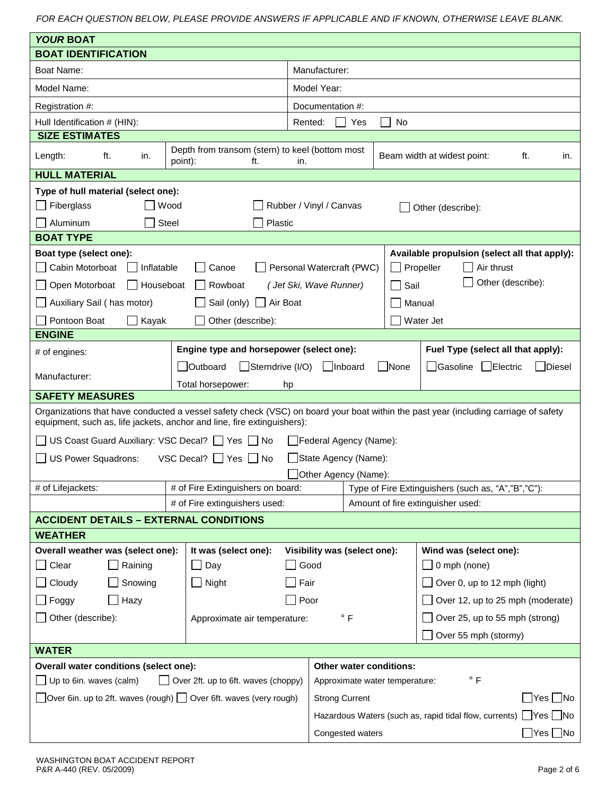| <b>YOUR BOAT</b>                                                                                                                                                                                               |                                                                           |                                        |                                                                             |                                                                          |  |
|----------------------------------------------------------------------------------------------------------------------------------------------------------------------------------------------------------------|---------------------------------------------------------------------------|----------------------------------------|-----------------------------------------------------------------------------|--------------------------------------------------------------------------|--|
| <b>BOAT IDENTIFICATION</b>                                                                                                                                                                                     |                                                                           |                                        |                                                                             |                                                                          |  |
| <b>Boat Name:</b>                                                                                                                                                                                              |                                                                           | Manufacturer:                          |                                                                             |                                                                          |  |
| Model Name:                                                                                                                                                                                                    |                                                                           | Model Year:                            |                                                                             |                                                                          |  |
| Registration #:                                                                                                                                                                                                |                                                                           | Documentation #:                       |                                                                             |                                                                          |  |
| Hull Identification # (HIN):                                                                                                                                                                                   |                                                                           | Rented:                                | Yes                                                                         | <b>No</b>                                                                |  |
| <b>SIZE ESTIMATES</b><br>Depth from transom (stern) to keel (bottom most                                                                                                                                       |                                                                           |                                        |                                                                             |                                                                          |  |
| ft.<br>Length:<br>in.<br>point):                                                                                                                                                                               | ft.                                                                       | in.                                    | Beam width at widest point:<br>ft.<br>in.                                   |                                                                          |  |
| <b>HULL MATERIAL</b>                                                                                                                                                                                           |                                                                           |                                        |                                                                             |                                                                          |  |
| Type of hull material (select one):                                                                                                                                                                            |                                                                           |                                        |                                                                             |                                                                          |  |
| Fiberglass<br>Wood                                                                                                                                                                                             |                                                                           | Rubber / Vinyl / Canvas                |                                                                             | Other (describe):                                                        |  |
| <b>Steel</b><br>Aluminum                                                                                                                                                                                       | Plastic                                                                   |                                        |                                                                             |                                                                          |  |
| <b>BOAT TYPE</b>                                                                                                                                                                                               |                                                                           |                                        |                                                                             |                                                                          |  |
| Boat type (select one):<br>Cabin Motorboat<br>Inflatable<br>Canoe                                                                                                                                              |                                                                           | Personal Watercraft (PWC)              |                                                                             | Available propulsion (select all that apply):<br>Propeller<br>Air thrust |  |
| Open Motorboat<br>Rowboat<br>Houseboat                                                                                                                                                                         |                                                                           | (Jet Ski, Wave Runner)                 |                                                                             | Other (describe):<br>Sail                                                |  |
| Auxiliary Sail (has motor)<br>Sail (only)                                                                                                                                                                      | Air Boat                                                                  |                                        |                                                                             | Manual                                                                   |  |
| Pontoon Boat<br>Kayak<br>Other (describe):                                                                                                                                                                     |                                                                           |                                        |                                                                             | Water Jet                                                                |  |
| <b>ENGINE</b>                                                                                                                                                                                                  |                                                                           |                                        |                                                                             |                                                                          |  |
| Engine type and horsepower (select one):<br># of engines:                                                                                                                                                      |                                                                           |                                        |                                                                             | Fuel Type (select all that apply):                                       |  |
| Outboard                                                                                                                                                                                                       | Sterndrive (I/O)<br>  Inboard<br>None<br>Gasoline<br>  Electric<br>Diesel |                                        |                                                                             |                                                                          |  |
| Manufacturer:<br>Total horsepower:                                                                                                                                                                             | hp                                                                        |                                        |                                                                             |                                                                          |  |
| <b>SAFETY MEASURES</b>                                                                                                                                                                                         |                                                                           |                                        |                                                                             |                                                                          |  |
| Organizations that have conducted a vessel safety check (VSC) on board your boat within the past year (including carriage of safety<br>equipment, such as, life jackets, anchor and line, fire extinguishers): |                                                                           |                                        |                                                                             |                                                                          |  |
| US Coast Guard Auxiliary: VSC Decal? □ Yes □ No                                                                                                                                                                |                                                                           | Federal Agency (Name):                 |                                                                             |                                                                          |  |
| US Power Squadrons:<br>VSC Decal?   Yes   No                                                                                                                                                                   |                                                                           | State Agency (Name):                   |                                                                             |                                                                          |  |
|                                                                                                                                                                                                                |                                                                           | Other Agency (Name):                   |                                                                             |                                                                          |  |
| # of Fire Extinguishers on board:<br># of Lifejackets:                                                                                                                                                         |                                                                           |                                        | Type of Fire Extinguishers (such as, "A","B","C"):                          |                                                                          |  |
| # of Fire extinguishers used:                                                                                                                                                                                  |                                                                           |                                        | Amount of fire extinguisher used:                                           |                                                                          |  |
| <b>ACCIDENT DETAILS - EXTERNAL CONDITIONS</b>                                                                                                                                                                  |                                                                           |                                        |                                                                             |                                                                          |  |
| <b>WEATHER</b>                                                                                                                                                                                                 |                                                                           |                                        |                                                                             |                                                                          |  |
| Overall weather was (select one):<br>It was (select one):<br>Raining<br>$\Box$ Day                                                                                                                             |                                                                           | Visibility was (select one):<br>Good   |                                                                             | Wind was (select one):<br>0 mph (none)                                   |  |
| Clear<br>Snowing<br>Cloudy                                                                                                                                                                                     |                                                                           |                                        |                                                                             | Over 0, up to 12 mph (light)                                             |  |
|                                                                                                                                                                                                                | $\Box$ Night<br>Fair                                                      |                                        |                                                                             |                                                                          |  |
| Hazy<br>Foggy                                                                                                                                                                                                  |                                                                           | Poor                                   |                                                                             | Over 12, up to 25 mph (moderate)                                         |  |
| Other (describe):<br>Approximate air temperature:                                                                                                                                                              |                                                                           | $\degree$ F                            |                                                                             | Over 25, up to 55 mph (strong)                                           |  |
| Over 55 mph (stormy)                                                                                                                                                                                           |                                                                           |                                        |                                                                             |                                                                          |  |
| <b>WATER</b>                                                                                                                                                                                                   |                                                                           |                                        |                                                                             |                                                                          |  |
| Overall water conditions (select one):<br>Over 2ft. up to 6ft. waves (choppy)<br>Up to 6in. waves (calm)                                                                                                       |                                                                           | Other water conditions:<br>$\degree$ F |                                                                             |                                                                          |  |
|                                                                                                                                                                                                                |                                                                           | Approximate water temperature:         |                                                                             |                                                                          |  |
| Over 6in. up to 2ft. waves (rough) $\Box$ Over 6ft. waves (very rough)                                                                                                                                         |                                                                           |                                        | $\Box$ Yes $\Box$ No<br><b>Strong Current</b>                               |                                                                          |  |
|                                                                                                                                                                                                                |                                                                           |                                        | Hazardous Waters (such as, rapid tidal flow, currents) $\Box$ Yes $\Box$ No |                                                                          |  |
|                                                                                                                                                                                                                |                                                                           |                                        | $\Box$ Yes $\Box$ No<br>Congested waters                                    |                                                                          |  |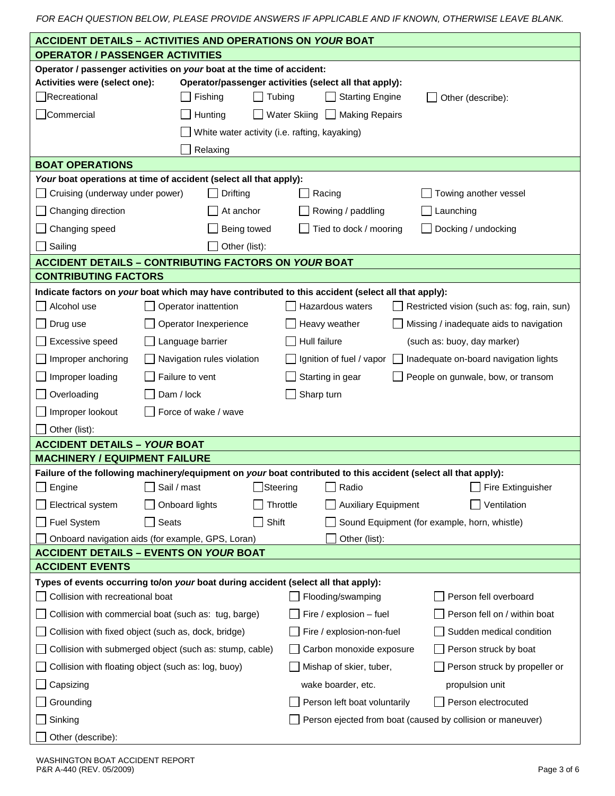|                                                                                                                 | <b>ACCIDENT DETAILS - ACTIVITIES AND OPERATIONS ON YOUR BOAT</b>                                                |                                                                                                                 |  |  |  |
|-----------------------------------------------------------------------------------------------------------------|-----------------------------------------------------------------------------------------------------------------|-----------------------------------------------------------------------------------------------------------------|--|--|--|
| <b>OPERATOR / PASSENGER ACTIVITIES</b>                                                                          |                                                                                                                 |                                                                                                                 |  |  |  |
|                                                                                                                 | Operator / passenger activities on your boat at the time of accident:                                           |                                                                                                                 |  |  |  |
| Activities were (select one):                                                                                   |                                                                                                                 | Operator/passenger activities (select all that apply):                                                          |  |  |  |
| Recreational                                                                                                    | <b>Starting Engine</b><br>Fishing<br>Tubing<br>Other (describe):                                                |                                                                                                                 |  |  |  |
| Commercial                                                                                                      | Hunting                                                                                                         | Water Skiing $\Box$<br><b>Making Repairs</b>                                                                    |  |  |  |
|                                                                                                                 | White water activity (i.e. rafting, kayaking)                                                                   |                                                                                                                 |  |  |  |
|                                                                                                                 | Relaxing                                                                                                        |                                                                                                                 |  |  |  |
| <b>BOAT OPERATIONS</b>                                                                                          |                                                                                                                 |                                                                                                                 |  |  |  |
|                                                                                                                 | Your boat operations at time of accident (select all that apply):                                               |                                                                                                                 |  |  |  |
| Cruising (underway under power)                                                                                 | Drifting                                                                                                        | Towing another vessel<br>Racing                                                                                 |  |  |  |
| Changing direction                                                                                              | At anchor                                                                                                       | Rowing / paddling<br>Launching                                                                                  |  |  |  |
| Changing speed                                                                                                  | Being towed                                                                                                     | Tied to dock / mooring<br>Docking / undocking                                                                   |  |  |  |
| Sailing                                                                                                         | Other (list):                                                                                                   |                                                                                                                 |  |  |  |
|                                                                                                                 | <b>ACCIDENT DETAILS - CONTRIBUTING FACTORS ON YOUR BOAT</b>                                                     |                                                                                                                 |  |  |  |
| <b>CONTRIBUTING FACTORS</b>                                                                                     |                                                                                                                 |                                                                                                                 |  |  |  |
|                                                                                                                 |                                                                                                                 | Indicate factors on your boat which may have contributed to this accident (select all that apply):              |  |  |  |
| Alcohol use                                                                                                     | Operator inattention                                                                                            | Hazardous waters<br>Restricted vision (such as: fog, rain, sun)                                                 |  |  |  |
| Drug use                                                                                                        | Operator Inexperience                                                                                           | Heavy weather<br>Missing / inadequate aids to navigation                                                        |  |  |  |
| Excessive speed                                                                                                 | Language barrier                                                                                                | Hull failure<br>(such as: buoy, day marker)                                                                     |  |  |  |
| Improper anchoring                                                                                              | Navigation rules violation                                                                                      | Ignition of fuel / vapor<br>Inadequate on-board navigation lights                                               |  |  |  |
| Improper loading                                                                                                | Failure to vent                                                                                                 | Starting in gear<br>People on gunwale, bow, or transom                                                          |  |  |  |
| Overloading                                                                                                     | Dam / lock                                                                                                      | Sharp turn                                                                                                      |  |  |  |
| Improper lookout                                                                                                | Force of wake / wave                                                                                            |                                                                                                                 |  |  |  |
| Other (list):                                                                                                   |                                                                                                                 |                                                                                                                 |  |  |  |
| <b>ACCIDENT DETAILS - YOUR BOAT</b>                                                                             |                                                                                                                 |                                                                                                                 |  |  |  |
| <b>MACHINERY / EQUIPMENT FAILURE</b>                                                                            |                                                                                                                 |                                                                                                                 |  |  |  |
|                                                                                                                 |                                                                                                                 | Failure of the following machinery/equipment on your boat contributed to this accident (select all that apply): |  |  |  |
| Engine                                                                                                          | Sail / mast                                                                                                     | Radio<br>Steering<br>Fire Extinguisher                                                                          |  |  |  |
| Electrical system                                                                                               | Onboard lights                                                                                                  | Ventilation<br>Throttle<br><b>Auxiliary Equipment</b>                                                           |  |  |  |
| Fuel System                                                                                                     | Shift<br>Seats                                                                                                  | Sound Equipment (for example, horn, whistle)                                                                    |  |  |  |
|                                                                                                                 | Onboard navigation aids (for example, GPS, Loran)                                                               | Other (list):                                                                                                   |  |  |  |
| <b>ACCIDENT EVENTS</b>                                                                                          | <b>ACCIDENT DETAILS - EVENTS ON YOUR BOAT</b>                                                                   |                                                                                                                 |  |  |  |
| Types of events occurring to/on your boat during accident (select all that apply):                              |                                                                                                                 |                                                                                                                 |  |  |  |
| Collision with recreational boat                                                                                |                                                                                                                 | Person fell overboard<br>Flooding/swamping                                                                      |  |  |  |
| Fire / explosion - fuel<br>Person fell on / within boat<br>Collision with commercial boat (such as: tug, barge) |                                                                                                                 |                                                                                                                 |  |  |  |
| Collision with fixed object (such as, dock, bridge)<br>Fire / explosion-non-fuel<br>Sudden medical condition    |                                                                                                                 |                                                                                                                 |  |  |  |
| Collision with submerged object (such as: stump, cable)<br>Carbon monoxide exposure<br>Person struck by boat    |                                                                                                                 |                                                                                                                 |  |  |  |
|                                                                                                                 | Collision with floating object (such as: log, buoy)<br>Mishap of skier, tuber,<br>Person struck by propeller or |                                                                                                                 |  |  |  |
| Capsizing<br>wake boarder, etc.<br>propulsion unit                                                              |                                                                                                                 |                                                                                                                 |  |  |  |
|                                                                                                                 |                                                                                                                 |                                                                                                                 |  |  |  |
| Person electrocuted<br>Grounding<br>Person left boat voluntarily                                                |                                                                                                                 |                                                                                                                 |  |  |  |
| Sinking                                                                                                         |                                                                                                                 | Person ejected from boat (caused by collision or maneuver)                                                      |  |  |  |
| Other (describe):                                                                                               |                                                                                                                 |                                                                                                                 |  |  |  |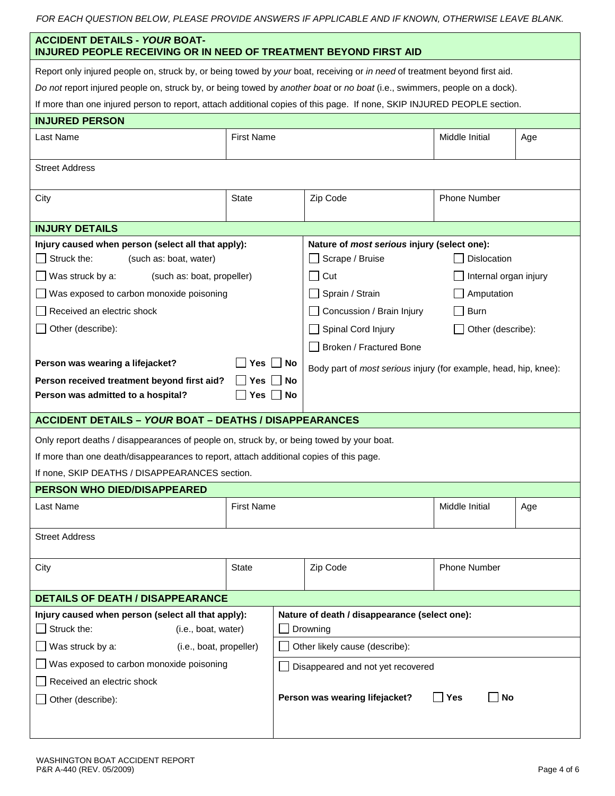|  | FOR EACH QUESTION BELOW. PLEASE PROVIDE ANSWERS IF APPLICABLE AND IF KNOWN. OTHERWISE LEAVE BLANK. |  |  |
|--|----------------------------------------------------------------------------------------------------|--|--|
|--|----------------------------------------------------------------------------------------------------|--|--|

| <b>ACCIDENT DETAILS - YOUR BOAT-</b><br><b>INJURED PEOPLE RECEIVING OR IN NEED OF TREATMENT BEYOND FIRST AID</b>           |                   |    |                                                                  |                       |     |  |
|----------------------------------------------------------------------------------------------------------------------------|-------------------|----|------------------------------------------------------------------|-----------------------|-----|--|
| Report only injured people on, struck by, or being towed by your boat, receiving or in need of treatment beyond first aid. |                   |    |                                                                  |                       |     |  |
| Do not report injured people on, struck by, or being towed by another boat or no boat (i.e., swimmers, people on a dock).  |                   |    |                                                                  |                       |     |  |
| If more than one injured person to report, attach additional copies of this page. If none, SKIP INJURED PEOPLE section.    |                   |    |                                                                  |                       |     |  |
| <b>INJURED PERSON</b>                                                                                                      |                   |    |                                                                  |                       |     |  |
| Last Name                                                                                                                  | <b>First Name</b> |    |                                                                  | Middle Initial        | Age |  |
|                                                                                                                            |                   |    |                                                                  |                       |     |  |
| <b>Street Address</b>                                                                                                      |                   |    |                                                                  |                       |     |  |
| City                                                                                                                       | <b>State</b>      |    | Zip Code                                                         | <b>Phone Number</b>   |     |  |
|                                                                                                                            |                   |    |                                                                  |                       |     |  |
| <b>INJURY DETAILS</b>                                                                                                      |                   |    |                                                                  |                       |     |  |
| Injury caused when person (select all that apply):                                                                         |                   |    | Nature of most serious injury (select one):                      |                       |     |  |
| Struck the:<br>(such as: boat, water)                                                                                      |                   |    | □ Scrape / Bruise                                                | <b>Dislocation</b>    |     |  |
| Was struck by a:<br>(such as: boat, propeller)                                                                             |                   |    | $\Box$ Cut                                                       | Internal organ injury |     |  |
| Was exposed to carbon monoxide poisoning                                                                                   |                   |    | Sprain / Strain                                                  | Amputation            |     |  |
| Received an electric shock                                                                                                 |                   |    | Concussion / Brain Injury                                        | <b>Burn</b>           |     |  |
| Other (describe):                                                                                                          |                   |    | Spinal Cord Injury                                               | Other (describe):     |     |  |
|                                                                                                                            |                   |    | Broken / Fractured Bone                                          |                       |     |  |
| Person was wearing a lifejacket?                                                                                           | Yes               | No | Body part of most serious injury (for example, head, hip, knee): |                       |     |  |
| Person received treatment beyond first aid?                                                                                | Yes               | No |                                                                  |                       |     |  |
| Person was admitted to a hospital?<br>Yes<br>No                                                                            |                   |    |                                                                  |                       |     |  |
| <b>ACCIDENT DETAILS - YOUR BOAT - DEATHS / DISAPPEARANCES</b>                                                              |                   |    |                                                                  |                       |     |  |
| Only report deaths / disappearances of people on, struck by, or being towed by your boat.                                  |                   |    |                                                                  |                       |     |  |
| If more than one death/disappearances to report, attach additional copies of this page.                                    |                   |    |                                                                  |                       |     |  |
| If none, SKIP DEATHS / DISAPPEARANCES section.                                                                             |                   |    |                                                                  |                       |     |  |
| <b>PERSON WHO DIED/DISAPPEARED</b>                                                                                         |                   |    |                                                                  |                       |     |  |
| Last Name                                                                                                                  | <b>First Name</b> |    |                                                                  | Middle Initial        | Age |  |
|                                                                                                                            |                   |    |                                                                  |                       |     |  |
| <b>Street Address</b>                                                                                                      |                   |    |                                                                  |                       |     |  |
| City                                                                                                                       | State             |    | Zip Code                                                         | <b>Phone Number</b>   |     |  |
|                                                                                                                            |                   |    |                                                                  |                       |     |  |
| <b>DETAILS OF DEATH / DISAPPEARANCE</b>                                                                                    |                   |    |                                                                  |                       |     |  |
| Injury caused when person (select all that apply):<br>Nature of death / disappearance (select one):                        |                   |    |                                                                  |                       |     |  |
| Struck the:<br>(i.e., boat, water)<br>Drowning                                                                             |                   |    |                                                                  |                       |     |  |
| Other likely cause (describe):<br>Was struck by a:<br>(i.e., boat, propeller)                                              |                   |    |                                                                  |                       |     |  |
| Was exposed to carbon monoxide poisoning<br>Disappeared and not yet recovered                                              |                   |    |                                                                  |                       |     |  |
| Received an electric shock                                                                                                 |                   |    |                                                                  |                       |     |  |
| Other (describe):                                                                                                          |                   |    | Person was wearing lifejacket?                                   | ∣ ∣Yes<br>l No        |     |  |
|                                                                                                                            |                   |    |                                                                  |                       |     |  |
|                                                                                                                            |                   |    |                                                                  |                       |     |  |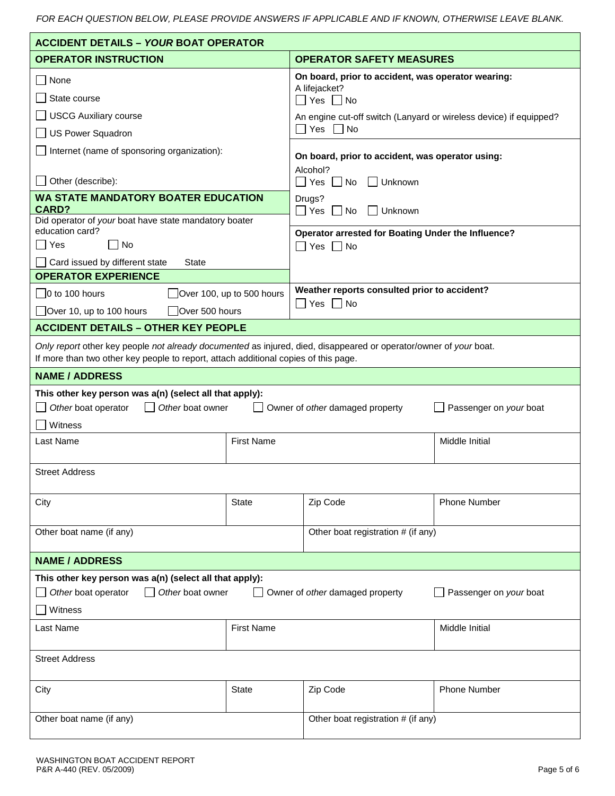| <b>ACCIDENT DETAILS - YOUR BOAT OPERATOR</b>                                                                                                                                                             |                                                |                                                                            |                     |  |
|----------------------------------------------------------------------------------------------------------------------------------------------------------------------------------------------------------|------------------------------------------------|----------------------------------------------------------------------------|---------------------|--|
| <b>OPERATOR INSTRUCTION</b>                                                                                                                                                                              |                                                | <b>OPERATOR SAFETY MEASURES</b>                                            |                     |  |
| None                                                                                                                                                                                                     |                                                | On board, prior to accident, was operator wearing:                         |                     |  |
| State course                                                                                                                                                                                             |                                                | A lifejacket?<br>$\Box$ Yes $\Box$ No                                      |                     |  |
| <b>USCG Auxiliary course</b>                                                                                                                                                                             |                                                | An engine cut-off switch (Lanyard or wireless device) if equipped?         |                     |  |
| <b>US Power Squadron</b>                                                                                                                                                                                 |                                                | Yes $\Box$ No                                                              |                     |  |
| Internet (name of sponsoring organization):                                                                                                                                                              |                                                |                                                                            |                     |  |
|                                                                                                                                                                                                          |                                                | On board, prior to accident, was operator using:<br>Alcohol?               |                     |  |
| Other (describe):                                                                                                                                                                                        |                                                | $\Box$ Yes $\Box$ No<br>Unknown                                            |                     |  |
| <b>WA STATE MANDATORY BOATER EDUCATION</b><br><b>CARD?</b>                                                                                                                                               |                                                | Drugs?<br>$\Box$ Yes $\Box$ No<br>Unknown                                  |                     |  |
| Did operator of your boat have state mandatory boater<br>education card?                                                                                                                                 |                                                |                                                                            |                     |  |
| Yes<br>∣ I No                                                                                                                                                                                            |                                                | Operator arrested for Boating Under the Influence?<br>$\Box$ Yes $\Box$ No |                     |  |
| Card issued by different state<br>State                                                                                                                                                                  |                                                |                                                                            |                     |  |
| <b>OPERATOR EXPERIENCE</b>                                                                                                                                                                               |                                                |                                                                            |                     |  |
| $\Box$ 0 to 100 hours<br>Over 100, up to 500 hours                                                                                                                                                       |                                                | Weather reports consulted prior to accident?                               |                     |  |
| $\Box$ Over 10, up to 100 hours<br>Over 500 hours                                                                                                                                                        |                                                | $\Box$ Yes $\Box$ No                                                       |                     |  |
| <b>ACCIDENT DETAILS - OTHER KEY PEOPLE</b>                                                                                                                                                               |                                                |                                                                            |                     |  |
| Only report other key people not already documented as injured, died, disappeared or operator/owner of your boat.<br>If more than two other key people to report, attach additional copies of this page. |                                                |                                                                            |                     |  |
| <b>NAME / ADDRESS</b>                                                                                                                                                                                    |                                                |                                                                            |                     |  |
| This other key person was a(n) (select all that apply):<br>Other boat operator<br>Other boat owner<br>Owner of other damaged property<br>Passenger on your boat                                          |                                                |                                                                            |                     |  |
| Last Name                                                                                                                                                                                                | Witness<br><b>First Name</b><br>Middle Initial |                                                                            |                     |  |
|                                                                                                                                                                                                          |                                                |                                                                            |                     |  |
| <b>Street Address</b>                                                                                                                                                                                    |                                                |                                                                            |                     |  |
| City                                                                                                                                                                                                     | <b>State</b>                                   | Zip Code                                                                   | <b>Phone Number</b> |  |
|                                                                                                                                                                                                          |                                                |                                                                            |                     |  |
| Other boat name (if any)                                                                                                                                                                                 |                                                | Other boat registration # (if any)                                         |                     |  |
| <b>NAME / ADDRESS</b>                                                                                                                                                                                    |                                                |                                                                            |                     |  |
| This other key person was a(n) (select all that apply):                                                                                                                                                  |                                                |                                                                            |                     |  |
| Other boat operator<br>Other boat owner<br>Passenger on your boat<br>Owner of other damaged property                                                                                                     |                                                |                                                                            |                     |  |
| Witness                                                                                                                                                                                                  |                                                |                                                                            |                     |  |
| Last Name                                                                                                                                                                                                | <b>First Name</b><br>Middle Initial            |                                                                            |                     |  |
| <b>Street Address</b>                                                                                                                                                                                    |                                                |                                                                            |                     |  |
| City                                                                                                                                                                                                     | <b>State</b>                                   | Zip Code                                                                   | <b>Phone Number</b> |  |
| Other boat name (if any)                                                                                                                                                                                 |                                                | Other boat registration # (if any)                                         |                     |  |